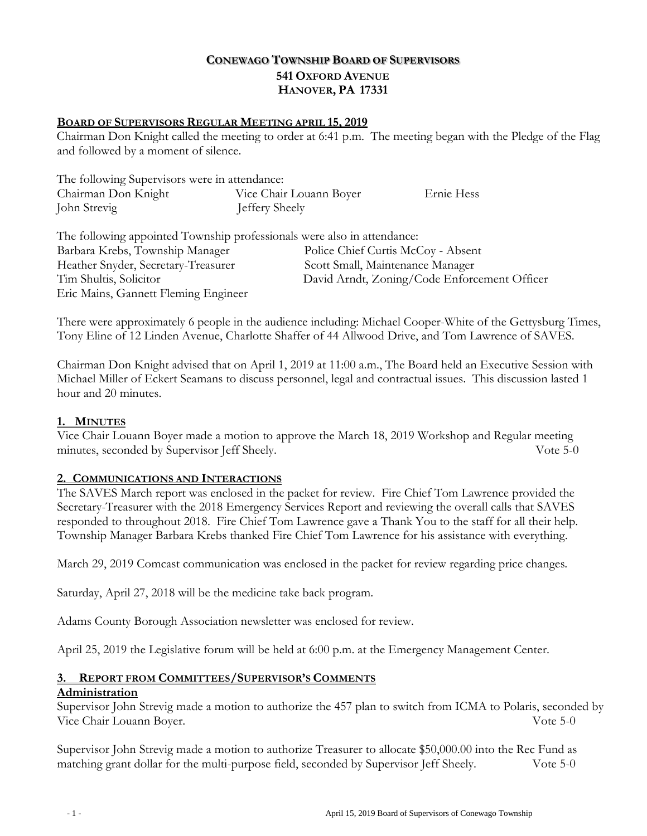# **CONEWAGO TOWNSHIP BOARD OF SUPERVISORS 541 OXFORD AVENUE HANOVER, PA 17331**

### **BOARD OF SUPERVISORS REGULAR MEETING APRIL 15, 2019**

Chairman Don Knight called the meeting to order at 6:41 p.m. The meeting began with the Pledge of the Flag and followed by a moment of silence.

| The following Supervisors were in attendance: |                         |            |
|-----------------------------------------------|-------------------------|------------|
| Chairman Don Knight                           | Vice Chair Louann Boyer | Ernie Hess |
| John Strevig                                  | Jeffery Sheely          |            |

| The following appointed Township professionals were also in attendance: |                                              |
|-------------------------------------------------------------------------|----------------------------------------------|
| Barbara Krebs, Township Manager                                         | Police Chief Curtis McCoy - Absent           |
| Heather Snyder, Secretary-Treasurer                                     | Scott Small, Maintenance Manager             |
| Tim Shultis, Solicitor                                                  | David Arndt, Zoning/Code Enforcement Officer |
| Eric Mains, Gannett Fleming Engineer                                    |                                              |

There were approximately 6 people in the audience including: Michael Cooper-White of the Gettysburg Times, Tony Eline of 12 Linden Avenue, Charlotte Shaffer of 44 Allwood Drive, and Tom Lawrence of SAVES.

 Chairman Don Knight advised that on April 1, 2019 at 11:00 a.m., The Board held an Executive Session with Michael Miller of Eckert Seamans to discuss personnel, legal and contractual issues. This discussion lasted 1 hour and 20 minutes.

#### **1. MINUTES**

Vice Chair Louann Boyer made a motion to approve the March 18, 2019 Workshop and Regular meeting minutes, seconded by Supervisor Jeff Sheely. Vote 5-0

#### **2. COMMUNICATIONS AND INTERACTIONS**

The SAVES March report was enclosed in the packet for review. Fire Chief Tom Lawrence provided the Secretary-Treasurer with the 2018 Emergency Services Report and reviewing the overall calls that SAVES responded to throughout 2018. Fire Chief Tom Lawrence gave a Thank You to the staff for all their help. Township Manager Barbara Krebs thanked Fire Chief Tom Lawrence for his assistance with everything.

March 29, 2019 Comcast communication was enclosed in the packet for review regarding price changes.

Saturday, April 27, 2018 will be the medicine take back program.

Adams County Borough Association newsletter was enclosed for review.

April 25, 2019 the Legislative forum will be held at 6:00 p.m. at the Emergency Management Center.

# **3. REPORT FROM COMMITTEES/SUPERVISOR'S COMMENTS**

# **Administration**

Supervisor John Strevig made a motion to authorize the 457 plan to switch from ICMA to Polaris, seconded by<br>Vote 5-0 Vice Chair Louann Boyer.

Supervisor John Strevig made a motion to authorize Treasurer to allocate \$50,000.00 into the Rec Fund as matching grant dollar for the multi-purpose field, seconded by Supervisor Jeff Sheely. Vote 5-0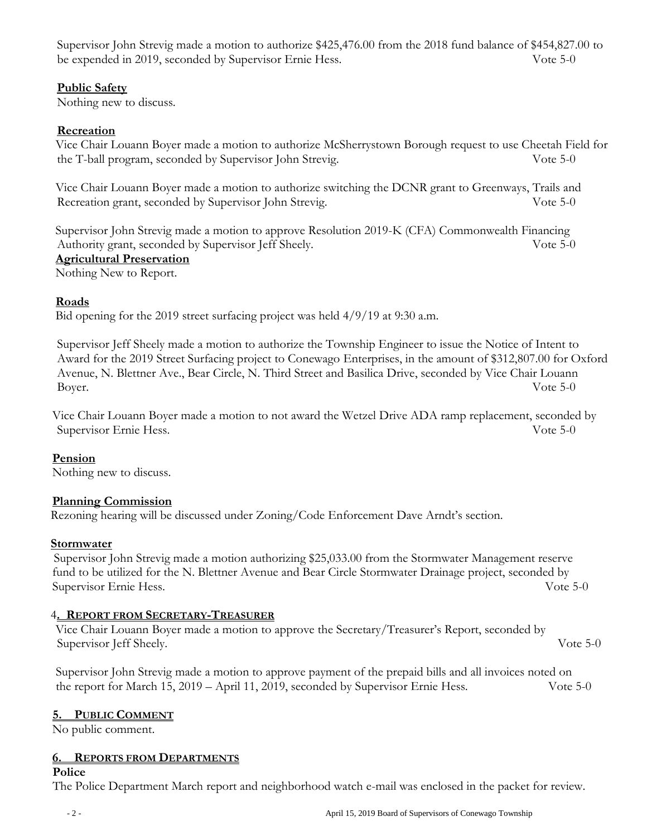Supervisor John Strevig made a motion to authorize \$425,476.00 from the 2018 fund balance of \$454,827.00 to be expended in 2019, seconded by Supervisor Ernie Hess. Vote 5-0

## **Public Safety**

Nothing new to discuss.

# **Recreation**

Vice Chair Louann Boyer made a motion to authorize McSherrystown Borough request to use Cheetah Field for the T-ball program, seconded by Supervisor John Strevig. Vote 5-0

Vice Chair Louann Boyer made a motion to authorize switching the DCNR grant to Greenways, Trails and Recreation grant, seconded by Supervisor John Strevig. Vote 5-0

Supervisor John Strevig made a motion to approve Resolution 2019-K (CFA) Commonwealth Financing Authority grant, seconded by Supervisor Jeff Sheely. Vote 5-0 **Agricultural Preservation**

Nothing New to Report.

# **Roads**

Bid opening for the 2019 street surfacing project was held 4/9/19 at 9:30 a.m.

Supervisor Jeff Sheely made a motion to authorize the Township Engineer to issue the Notice of Intent to Award for the 2019 Street Surfacing project to Conewago Enterprises, in the amount of \$312,807.00 for Oxford Avenue, N. Blettner Ave., Bear Circle, N. Third Street and Basilica Drive, seconded by Vice Chair Louann Boyer. Vote 5-0

Vice Chair Louann Boyer made a motion to not award the Wetzel Drive ADA ramp replacement, seconded by Supervisor Ernie Hess. Vote 5-0

# **Pension**

Nothing new to discuss.

## **Planning Commission**

Rezoning hearing will be discussed under Zoning/Code Enforcement Dave Arndt's section.

## **Stormwater**

 Supervisor John Strevig made a motion authorizing \$25,033.00 from the Stormwater Management reserve fund to be utilized for the N. Blettner Avenue and Bear Circle Stormwater Drainage project, seconded by Supervisor Ernie Hess. Vote 5-0

## 4**. REPORT FROM SECRETARY-TREASURER**

Vice Chair Louann Boyer made a motion to approve the Secretary/Treasurer's Report, seconded by Supervisor Jeff Sheely. Vote 5-0

Supervisor John Strevig made a motion to approve payment of the prepaid bills and all invoices noted on the report for March 15, 2019 – April 11, 2019, seconded by Supervisor Ernie Hess. Vote 5-0

## **5. PUBLIC COMMENT**

No public comment.

## **6. REPORTS FROM DEPARTMENTS**

#### **Police**

The Police Department March report and neighborhood watch e-mail was enclosed in the packet for review.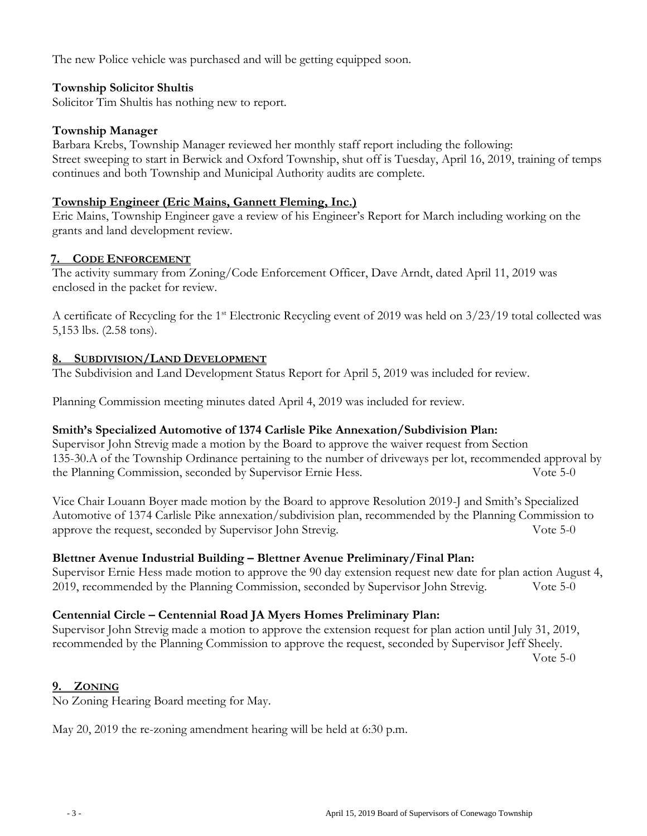The new Police vehicle was purchased and will be getting equipped soon.

## **Township Solicitor Shultis**

Solicitor Tim Shultis has nothing new to report.

#### **Township Manager**

Barbara Krebs, Township Manager reviewed her monthly staff report including the following: Street sweeping to start in Berwick and Oxford Township, shut off is Tuesday, April 16, 2019, training of temps continues and both Township and Municipal Authority audits are complete.

### **Township Engineer (Eric Mains, Gannett Fleming, Inc.)**

Eric Mains, Township Engineer gave a review of his Engineer's Report for March including working on the grants and land development review.

## **7. CODE ENFORCEMENT**

The activity summary from Zoning/Code Enforcement Officer, Dave Arndt, dated April 11, 2019 was enclosed in the packet for review.

A certificate of Recycling for the 1<sup>st</sup> Electronic Recycling event of 2019 was held on  $3/23/19$  total collected was 5,153 lbs. (2.58 tons).

#### **8. SUBDIVISION/LAND DEVELOPMENT**

The Subdivision and Land Development Status Report for April 5, 2019 was included for review.

Planning Commission meeting minutes dated April 4, 2019 was included for review.

## **Smith's Specialized Automotive of 1374 Carlisle Pike Annexation/Subdivision Plan:**

Supervisor John Strevig made a motion by the Board to approve the waiver request from Section 135-30.A of the Township Ordinance pertaining to the number of driveways per lot, recommended approval by the Planning Commission, seconded by Supervisor Ernie Hess. Vote 5-0

Vice Chair Louann Boyer made motion by the Board to approve Resolution 2019-J and Smith's Specialized Automotive of 1374 Carlisle Pike annexation/subdivision plan, recommended by the Planning Commission to approve the request, seconded by Supervisor John Strevig. Vote 5-0

#### **Blettner Avenue Industrial Building – Blettner Avenue Preliminary/Final Plan:**

Supervisor Ernie Hess made motion to approve the 90 day extension request new date for plan action August 4, 2019, recommended by the Planning Commission, seconded by Supervisor John Strevig. Vote 5-0

## **Centennial Circle – Centennial Road JA Myers Homes Preliminary Plan:**

Supervisor John Strevig made a motion to approve the extension request for plan action until July 31, 2019, recommended by the Planning Commission to approve the request, seconded by Supervisor Jeff Sheely.

Vote 5-0

#### **9. ZONING**

No Zoning Hearing Board meeting for May.

May 20, 2019 the re-zoning amendment hearing will be held at 6:30 p.m.